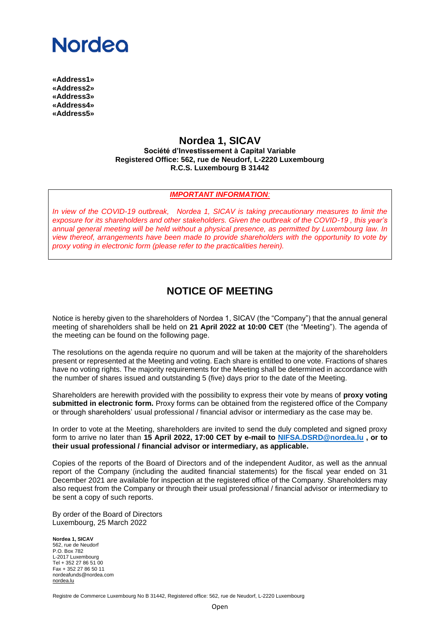# **Nordeo**

**«Address1» «Address2» «Address3» «Address4» «Address5»**

### **Nordea 1, SICAV**

**Société d'Investissement à Capital Variable Registered Office: 562, rue de Neudorf, L-2220 Luxembourg R.C.S. Luxembourg B 31442**

#### *IMPORTANT INFORMATION:*

*In view of the COVID-19 outbreak, Nordea 1, SICAV is taking precautionary measures to limit the exposure for its shareholders and other stakeholders. Given the outbreak of the COVID-19 , this year's annual general meeting will be held without a physical presence, as permitted by Luxembourg law. In view thereof, arrangements have been made to provide shareholders with the opportunity to vote by proxy voting in electronic form (please refer to the practicalities herein).*

## **NOTICE OF MEETING**

Notice is hereby given to the shareholders of Nordea 1, SICAV (the "Company") that the annual general meeting of shareholders shall be held on **21 April 2022 at 10:00 CET** (the "Meeting"). The agenda of the meeting can be found on the following page.

The resolutions on the agenda require no quorum and will be taken at the majority of the shareholders present or represented at the Meeting and voting. Each share is entitled to one vote. Fractions of shares have no voting rights. The majority requirements for the Meeting shall be determined in accordance with the number of shares issued and outstanding 5 (five) days prior to the date of the Meeting.

Shareholders are herewith provided with the possibility to express their vote by means of **proxy voting submitted in electronic form.** Proxy forms can be obtained from the registered office of the Company or through shareholders' usual professional / financial advisor or intermediary as the case may be.

In order to vote at the Meeting, shareholders are invited to send the duly completed and signed proxy form to arrive no later than **15 April 2022, 17:00 CET by e-mail to [NIFSA.DSRD@nordea.lu](mailto:NIFSA.DSRD@nordea.lu) , or to their usual professional / financial advisor or intermediary, as applicable.**

Copies of the reports of the Board of Directors and of the independent Auditor, as well as the annual report of the Company (including the audited financial statements) for the fiscal year ended on 31 December 2021 are available for inspection at the registered office of the Company. Shareholders may also request from the Company or through their usual professional / financial advisor or intermediary to be sent a copy of such reports.

By order of the Board of Directors Luxembourg, 25 March 2022

**Nordea 1, SICAV** 562, rue de Neudorf P.O. Box 782 L-2017 Luxembourg Tel + 352 27 86 51 00 Fax + 352 27 86 50 11 nordeafunds@nordea.com [nordea.lu](http://www.nordea.lu/)

Registre de Commerce Luxembourg No B 31442, Registered office: 562, rue de Neudorf, L-2220 Luxembourg